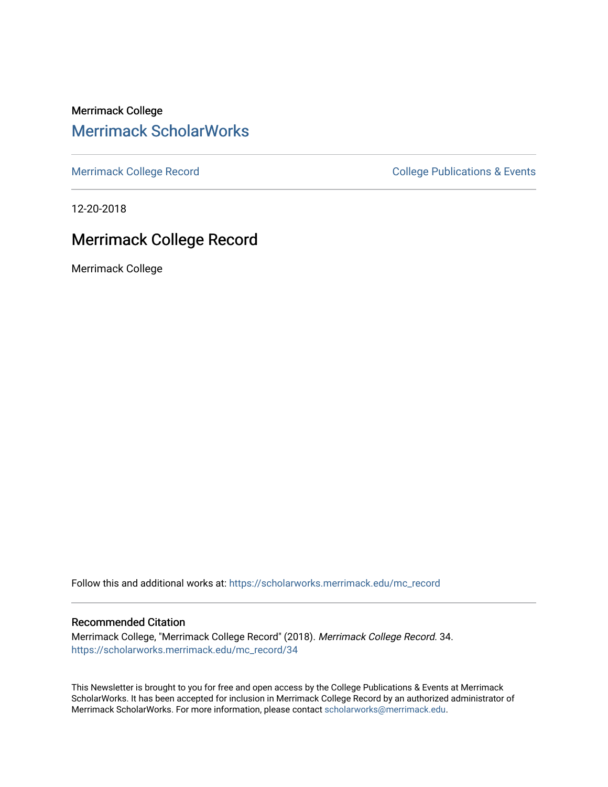Merrimack College [Merrimack ScholarWorks](https://scholarworks.merrimack.edu/) 

[Merrimack College Record](https://scholarworks.merrimack.edu/mc_record) **College Record** College Publications & Events

12-20-2018

# Merrimack College Record

Merrimack College

Follow this and additional works at: [https://scholarworks.merrimack.edu/mc\\_record](https://scholarworks.merrimack.edu/mc_record?utm_source=scholarworks.merrimack.edu%2Fmc_record%2F34&utm_medium=PDF&utm_campaign=PDFCoverPages) 

#### Recommended Citation

Merrimack College, "Merrimack College Record" (2018). Merrimack College Record. 34. [https://scholarworks.merrimack.edu/mc\\_record/34](https://scholarworks.merrimack.edu/mc_record/34?utm_source=scholarworks.merrimack.edu%2Fmc_record%2F34&utm_medium=PDF&utm_campaign=PDFCoverPages)

This Newsletter is brought to you for free and open access by the College Publications & Events at Merrimack ScholarWorks. It has been accepted for inclusion in Merrimack College Record by an authorized administrator of Merrimack ScholarWorks. For more information, please contact [scholarworks@merrimack.edu](mailto:scholarworks@merrimack.edu).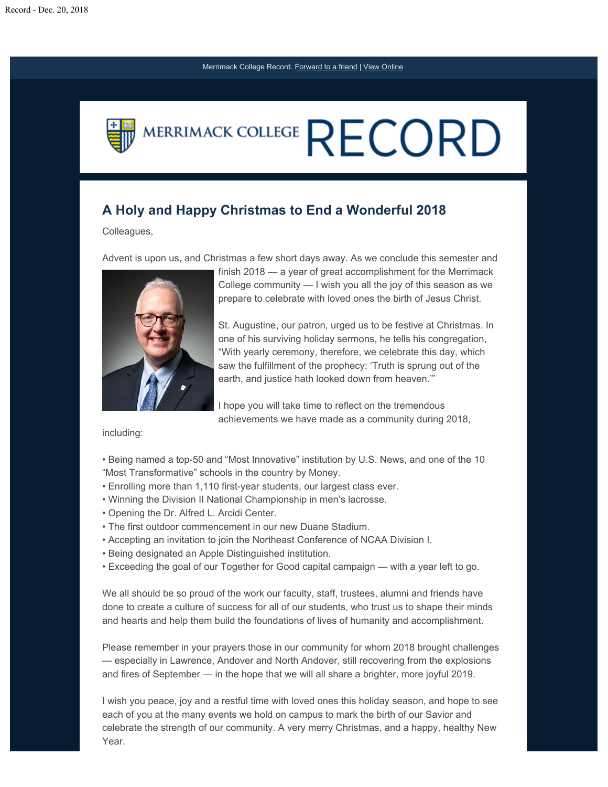

### **A Holy and Happy Christmas to End a Wonderful 2018**

#### Colleagues,

Advent is upon us, and Christmas a few short days away. As we conclude this semester and



finish 2018 — a year of great accomplishment for the Merrimack College community — I wish you all the joy of this season as we prepare to celebrate with loved ones the birth of Jesus Christ.

St. Augustine, our patron, urged us to be festive at Christmas. In one of his surviving holiday sermons, he tells his congregation, "With yearly ceremony, therefore, we celebrate this day, which saw the fulfillment of the prophecy: 'Truth is sprung out of the earth, and justice hath looked down from heaven.'"

I hope you will take time to reflect on the tremendous achievements we have made as a community during 2018,

#### including:

- Being named a top-50 and "Most Innovative" institution by U.S. News, and one of the 10 "Most Transformative" schools in the country by Money.
- Enrolling more than 1,110 first-year students, our largest class ever.
- Winning the Division II National Championship in men's lacrosse.
- Opening the Dr. Alfred L. Arcidi Center.
- The first outdoor commencement in our new Duane Stadium.
- Accepting an invitation to join the Northeast Conference of NCAA Division I.
- Being designated an Apple Distinguished institution.
- Exceeding the goal of our Together for Good capital campaign with a year left to go.

We all should be so proud of the work our faculty, staff, trustees, alumni and friends have done to create a culture of success for all of our students, who trust us to shape their minds and hearts and help them build the foundations of lives of humanity and accomplishment.

Please remember in your prayers those in our community for whom 2018 brought challenges — especially in Lawrence, Andover and North Andover, still recovering from the explosions and fires of September — in the hope that we will all share a brighter, more joyful 2019.

I wish you peace, joy and a restful time with loved ones this holiday season, and hope to see each of you at the many events we hold on campus to mark the birth of our Savior and celebrate the strength of our community. A very merry Christmas, and a happy, healthy New Year.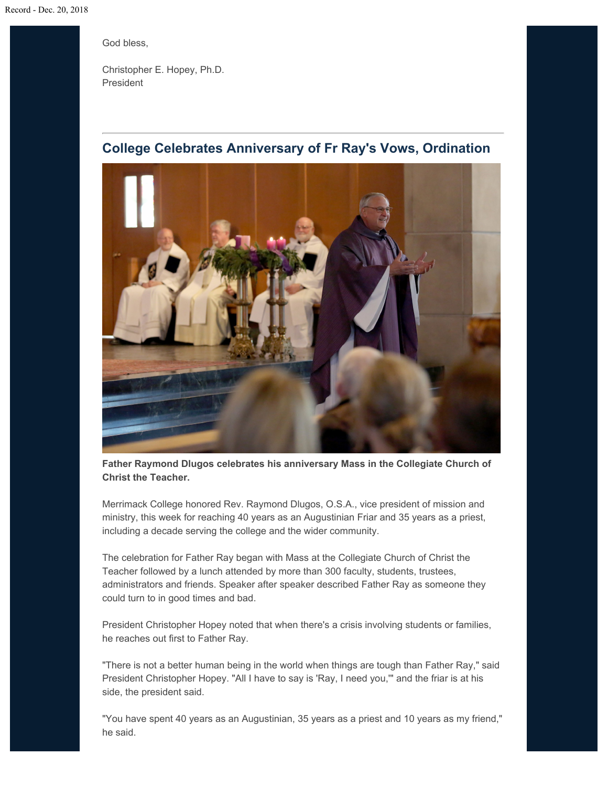God bless,

Christopher E. Hopey, Ph.D. President

## **College Celebrates Anniversary of Fr Ray's Vows, Ordination**



**Father Raymond Dlugos celebrates his anniversary Mass in the Collegiate Church of Christ the Teacher.**

Merrimack College honored Rev. Raymond Dlugos, O.S.A., vice president of mission and ministry, this week for reaching 40 years as an Augustinian Friar and 35 years as a priest, including a decade serving the college and the wider community.

The celebration for Father Ray began with Mass at the Collegiate Church of Christ the Teacher followed by a lunch attended by more than 300 faculty, students, trustees, administrators and friends. Speaker after speaker described Father Ray as someone they could turn to in good times and bad.

President Christopher Hopey noted that when there's a crisis involving students or families, he reaches out first to Father Ray.

"There is not a better human being in the world when things are tough than Father Ray," said President Christopher Hopey. "All I have to say is 'Ray, I need you,'" and the friar is at his side, the president said.

"You have spent 40 years as an Augustinian, 35 years as a priest and 10 years as my friend," he said.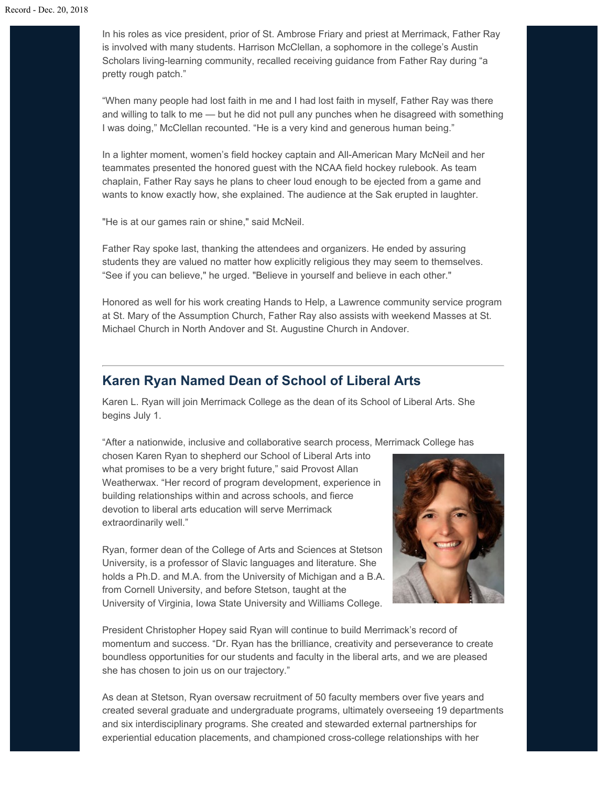In his roles as vice president, prior of St. Ambrose Friary and priest at Merrimack, Father Ray is involved with many students. Harrison McClellan, a sophomore in the college's Austin Scholars living-learning community, recalled receiving guidance from Father Ray during "a pretty rough patch."

"When many people had lost faith in me and I had lost faith in myself, Father Ray was there and willing to talk to me — but he did not pull any punches when he disagreed with something I was doing," McClellan recounted. "He is a very kind and generous human being."

In a lighter moment, women's field hockey captain and All-American Mary McNeil and her teammates presented the honored guest with the NCAA field hockey rulebook. As team chaplain, Father Ray says he plans to cheer loud enough to be ejected from a game and wants to know exactly how, she explained. The audience at the Sak erupted in laughter.

"He is at our games rain or shine," said McNeil.

Father Ray spoke last, thanking the attendees and organizers. He ended by assuring students they are valued no matter how explicitly religious they may seem to themselves. "See if you can believe," he urged. "Believe in yourself and believe in each other."

Honored as well for his work creating Hands to Help, a Lawrence community service program at St. Mary of the Assumption Church, Father Ray also assists with weekend Masses at St. Michael Church in North Andover and St. Augustine Church in Andover.

#### **Karen Ryan Named Dean of School of Liberal Arts**

Karen L. Ryan will join Merrimack College as the dean of its School of Liberal Arts. She begins July 1.

"After a nationwide, inclusive and collaborative search process, Merrimack College has

chosen Karen Ryan to shepherd our School of Liberal Arts into what promises to be a very bright future," said Provost Allan Weatherwax. "Her record of program development, experience in building relationships within and across schools, and fierce devotion to liberal arts education will serve Merrimack extraordinarily well."

Ryan, former dean of the College of Arts and Sciences at Stetson University, is a professor of Slavic languages and literature. She holds a Ph.D. and M.A. from the University of Michigan and a B.A. from Cornell University, and before Stetson, taught at the University of Virginia, Iowa State University and Williams College.



President Christopher Hopey said Ryan will continue to build Merrimack's record of momentum and success. "Dr. Ryan has the brilliance, creativity and perseverance to create boundless opportunities for our students and faculty in the liberal arts, and we are pleased she has chosen to join us on our trajectory."

As dean at Stetson, Ryan oversaw recruitment of 50 faculty members over five years and created several graduate and undergraduate programs, ultimately overseeing 19 departments and six interdisciplinary programs. She created and stewarded external partnerships for experiential education placements, and championed cross-college relationships with her